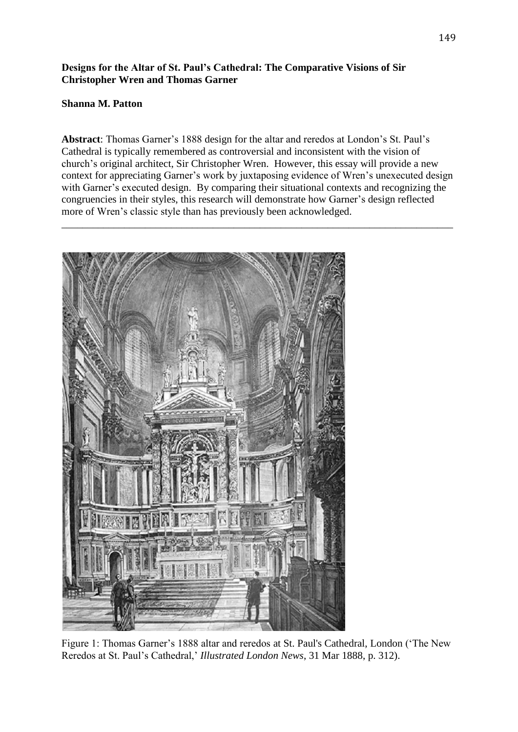## **Designs for the Altar of St. Paul's Cathedral: The Comparative Visions of Sir Christopher Wren and Thomas Garner**

## **Shanna M. Patton**

**Abstract**: Thomas Garner's 1888 design for the altar and reredos at London's St. Paul's Cathedral is typically remembered as controversial and inconsistent with the vision of church's original architect, Sir Christopher Wren. However, this essay will provide a new context for appreciating Garner's work by juxtaposing evidence of Wren's unexecuted design with Garner's executed design. By comparing their situational contexts and recognizing the congruencies in their styles, this research will demonstrate how Garner's design reflected more of Wren's classic style than has previously been acknowledged.

\_\_\_\_\_\_\_\_\_\_\_\_\_\_\_\_\_\_\_\_\_\_\_\_\_\_\_\_\_\_\_\_\_\_\_\_\_\_\_\_\_\_\_\_\_\_\_\_\_\_\_\_\_\_\_\_\_\_\_\_\_\_\_\_\_\_\_\_\_\_\_\_\_\_\_



Figure 1: Thomas Garner's 1888 altar and reredos at St. Paul's Cathedral, London ('The New Reredos at St. Paul's Cathedral,' *Illustrated London News*, 31 Mar 1888, p. 312).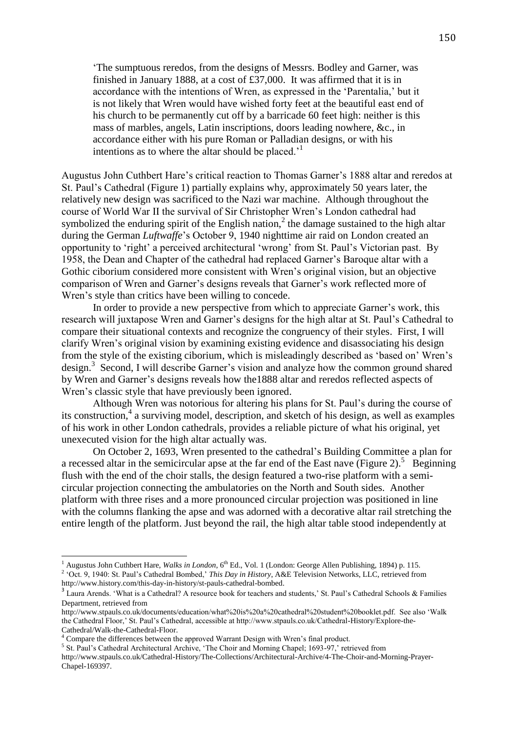'The sumptuous reredos, from the designs of Messrs. Bodley and Garner, was finished in January 1888, at a cost of £37,000. It was affirmed that it is in accordance with the intentions of Wren, as expressed in the 'Parentalia,' but it is not likely that Wren would have wished forty feet at the beautiful east end of his church to be permanently cut off by a barricade 60 feet high: neither is this mass of marbles, angels, Latin inscriptions, doors leading nowhere, &c., in accordance either with his pure Roman or Palladian designs, or with his intentions as to where the altar should be placed.<sup> $1$ </sup>

Augustus John Cuthbert Hare's critical reaction to Thomas Garner's 1888 altar and reredos at St. Paul's Cathedral (Figure 1) partially explains why, approximately 50 years later, the relatively new design was sacrificed to the Nazi war machine. Although throughout the course of World War II the survival of Sir Christopher Wren's London cathedral had symbolized the enduring spirit of the English nation,<sup>2</sup> the damage sustained to the high altar during the German *Luftwaffe*'s October 9, 1940 nighttime air raid on London created an opportunity to 'right' a perceived architectural 'wrong' from St. Paul's Victorian past. By 1958, the Dean and Chapter of the cathedral had replaced Garner's Baroque altar with a Gothic ciborium considered more consistent with Wren's original vision, but an objective comparison of Wren and Garner's designs reveals that Garner's work reflected more of Wren's style than critics have been willing to concede.

In order to provide a new perspective from which to appreciate Garner's work, this research will juxtapose Wren and Garner's designs for the high altar at St. Paul's Cathedral to compare their situational contexts and recognize the congruency of their styles. First, I will clarify Wren's original vision by examining existing evidence and disassociating his design from the style of the existing ciborium, which is misleadingly described as 'based on' Wren's design. 3 Second, I will describe Garner's vision and analyze how the common ground shared by Wren and Garner's designs reveals how the1888 altar and reredos reflected aspects of Wren's classic style that have previously been ignored.

Although Wren was notorious for altering his plans for St. Paul's during the course of its construction,<sup>4</sup> a surviving model, description, and sketch of his design, as well as examples of his work in other London cathedrals, provides a reliable picture of what his original, yet unexecuted vision for the high altar actually was.

On October 2, 1693, Wren presented to the cathedral's Building Committee a plan for a recessed altar in the semicircular apse at the far end of the East nave (Figure 2).<sup>5</sup> Beginning flush with the end of the choir stalls, the design featured a two-rise platform with a semicircular projection connecting the ambulatories on the North and South sides. Another platform with three rises and a more pronounced circular projection was positioned in line with the columns flanking the apse and was adorned with a decorative altar rail stretching the entire length of the platform. Just beyond the rail, the high altar table stood independently at

 $\overline{\phantom{a}}$ 

<sup>&</sup>lt;sup>1</sup> Augustus John Cuthbert Hare, *Walks in London*, 6<sup>th</sup> Ed., Vol. 1 (London: George Allen Publishing, 1894) p. 115.

<sup>2</sup> 'Oct. 9, 1940: St. Paul's Cathedral Bombed,' *This Day in History*, A&E Television Networks, LLC, retrieved from http://www.history.com/this-day-in-history/st-pauls-cathedral-bombed.

<sup>&</sup>lt;sup>3</sup> Laura Arends. 'What is a Cathedral? A resource book for teachers and students,' St. Paul's Cathedral Schools & Families Department, retrieved from

http://www.stpauls.co.uk/documents/education/what%20is%20a%20cathedral%20student%20booklet.pdf. See also 'Walk the Cathedral Floor,' St. Paul's Cathedral, accessible at http://www.stpauls.co.uk/Cathedral-History/Explore-the-Cathedral/Walk-the-Cathedral-Floor.

<sup>4</sup> Compare the differences between the approved Warrant Design with Wren's final product.

<sup>&</sup>lt;sup>5</sup> St. Paul's Cathedral Architectural Archive, 'The Choir and Morning Chapel; 1693-97,' retrieved from http://www.stpauls.co.uk/Cathedral-History/The-Collections/Architectural-Archive/4-The-Choir-and-Morning-Prayer-Chapel-169397.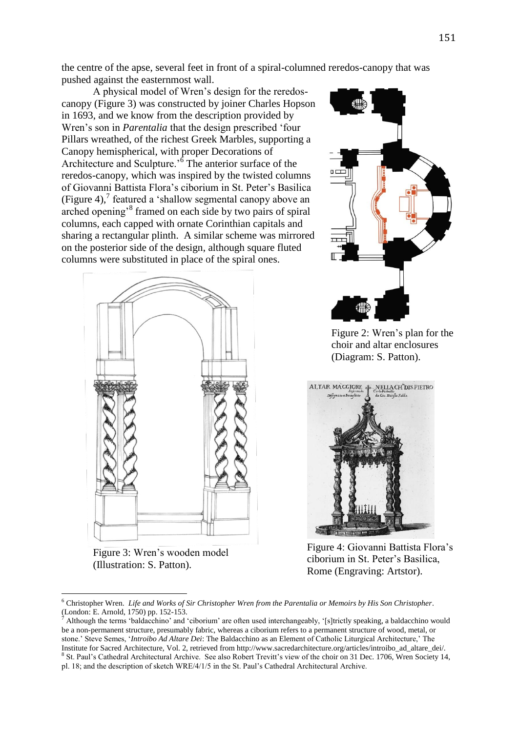the centre of the apse, several feet in front of a spiral-columned reredos-canopy that was pushed against the easternmost wall.

A physical model of Wren's design for the reredoscanopy (Figure 3) was constructed by joiner Charles Hopson in 1693, and we know from the description provided by Wren's son in *Parentalia* that the design prescribed 'four Pillars wreathed, of the richest Greek Marbles, supporting a Canopy hemispherical, with proper Decorations of Architecture and Sculpture.<sup>'6</sup> The anterior surface of the reredos-canopy, which was inspired by the twisted columns of Giovanni Battista Flora's ciborium in St. Peter's Basilica (Figure 4), $^7$  featured a 'shallow segmental canopy above an arched opening'<sup>8</sup> framed on each side by two pairs of spiral columns, each capped with ornate Corinthian capitals and sharing a rectangular plinth. A similar scheme was mirrored on the posterior side of the design, although square fluted columns were substituted in place of the spiral ones.





Figure 3: Wren's wooden model (Illustration: S. Patton).

Figure 2: Wren's plan for the choir and altar enclosures (Diagram: S. Patton).



Figure 4: Giovanni Battista Flora's ciborium in St. Peter's Basilica, Rome (Engraving: Artstor).

<sup>6</sup> Christopher Wren. *Life and Works of Sir Christopher Wren from the Parentalia or Memoirs by His Son Christopher*. (London: E. Arnold, 1750) pp. 152-153.

<sup>7</sup> Although the terms 'baldacchino' and 'ciborium' are often used interchangeably, '[s]trictly speaking, a baldacchino would be a non-permanent structure, presumably fabric, whereas a ciborium refers to a permanent structure of wood, metal, or stone.' Steve Semes, '*Introibo Ad Altare Dei*: The Baldacchino as an Element of Catholic Liturgical Architecture,' The Institute for Sacred Architecture, Vol. 2, retrieved from http://www.sacredarchitecture.org/articles/introibo\_ad\_altare\_dei/. <sup>8</sup> St. Paul's Cathedral Architectural Archive. See also Robert Trevitt's view of the choir on 31 Dec. 1706, Wren Society 14, pl. 18; and the description of sketch WRE/4/1/5 in the St. Paul's Cathedral Architectural Archive.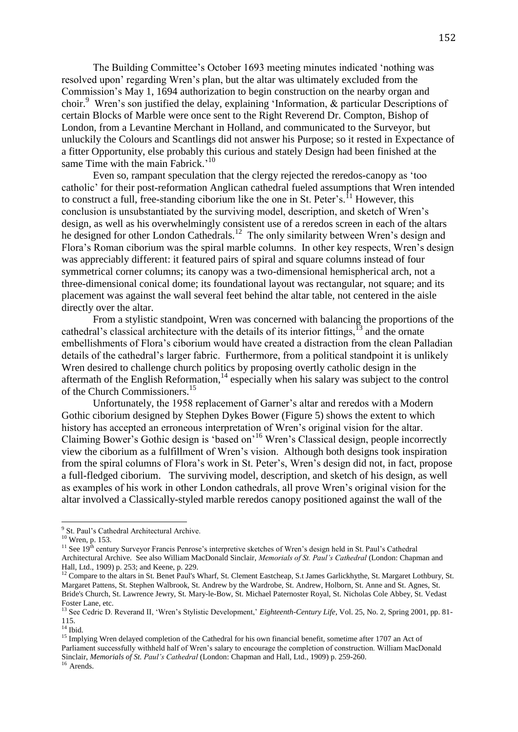The Building Committee's October 1693 meeting minutes indicated 'nothing was resolved upon' regarding Wren's plan, but the altar was ultimately excluded from the Commission's May 1, 1694 authorization to begin construction on the nearby organ and choir.<sup>9</sup> Wren's son justified the delay, explaining 'Information, & particular Descriptions of certain Blocks of Marble were once sent to the Right Reverend Dr. Compton, Bishop of London, from a Levantine Merchant in Holland, and communicated to the Surveyor, but unluckily the Colours and Scantlings did not answer his Purpose; so it rested in Expectance of a fitter Opportunity, else probably this curious and stately Design had been finished at the same Time with the main Fabrick.<sup>'10</sup>

Even so, rampant speculation that the clergy rejected the reredos-canopy as 'too catholic' for their post-reformation Anglican cathedral fueled assumptions that Wren intended to construct a full, free-standing ciborium like the one in St. Peter's.<sup>11</sup> However, this conclusion is unsubstantiated by the surviving model, description, and sketch of Wren's design, as well as his overwhelmingly consistent use of a reredos screen in each of the altars he designed for other London Cathedrals.<sup>12</sup> The only similarity between Wren's design and Flora's Roman ciborium was the spiral marble columns. In other key respects, Wren's design was appreciably different: it featured pairs of spiral and square columns instead of four symmetrical corner columns; its canopy was a two-dimensional hemispherical arch, not a three-dimensional conical dome; its foundational layout was rectangular, not square; and its placement was against the wall several feet behind the altar table, not centered in the aisle directly over the altar.

From a stylistic standpoint, Wren was concerned with balancing the proportions of the cathedral's classical architecture with the details of its interior fittings.<sup>13</sup> and the ornate embellishments of Flora's ciborium would have created a distraction from the clean Palladian details of the cathedral's larger fabric. Furthermore, from a political standpoint it is unlikely Wren desired to challenge church politics by proposing overtly catholic design in the aftermath of the English Reformation,<sup>14</sup> especially when his salary was subject to the control of the Church Commissioners.<sup>15</sup>

Unfortunately, the 1958 replacement of Garner's altar and reredos with a Modern Gothic ciborium designed by Stephen Dykes Bower (Figure 5) shows the extent to which history has accepted an erroneous interpretation of Wren's original vision for the altar. Claiming Bower's Gothic design is 'based on'<sup>16</sup> Wren's Classical design, people incorrectly view the ciborium as a fulfillment of Wren's vision. Although both designs took inspiration from the spiral columns of Flora's work in St. Peter's, Wren's design did not, in fact, propose a full-fledged ciborium. The surviving model, description, and sketch of his design, as well as examples of his work in other London cathedrals, all prove Wren's original vision for the altar involved a Classically-styled marble reredos canopy positioned against the wall of the

<sup>&</sup>lt;sup>9</sup> St. Paul's Cathedral Architectural Archive.

 $10$  Wren, p. 153.

<sup>&</sup>lt;sup>11</sup> See 19<sup>th</sup> century Surveyor Francis Penrose's interpretive sketches of Wren's design held in St. Paul's Cathedral Architectural Archive. See also William MacDonald Sinclair, *Memorials of St. Paul's Cathedral* (London: Chapman and Hall, Ltd., 1909) p. 253; and Keene, p. 229.

<sup>12</sup> Compare to the altars in St. Benet Paul's Wharf, St. Clement Eastcheap, S.t James Garlickhythe, St. Margaret Lothbury, St. Margaret Pattens, St. Stephen Walbrook, St. Andrew by the Wardrobe, St. Andrew, Holborn, St. Anne and St. Agnes, St. Bride's Church, St. Lawrence Jewry, St. Mary-le-Bow, St. Michael Paternoster Royal, St. Nicholas Cole Abbey, St. Vedast Foster Lane, etc.

<sup>&</sup>lt;sup>13</sup> See Cedric D. Reverand II, 'Wren's Stylistic Development,' *Eighteenth-Century Life*, Vol. 25, No. 2, Spring 2001, pp. 81-115.

 $14$  Ibid.

<sup>&</sup>lt;sup>15</sup> Implying Wren delayed completion of the Cathedral for his own financial benefit, sometime after 1707 an Act of Parliament successfully withheld half of Wren's salary to encourage the completion of construction. William MacDonald Sinclair, *Memorials of St. Paul's Cathedral* (London: Chapman and Hall, Ltd., 1909) p. 259-260.  $16$  Arends.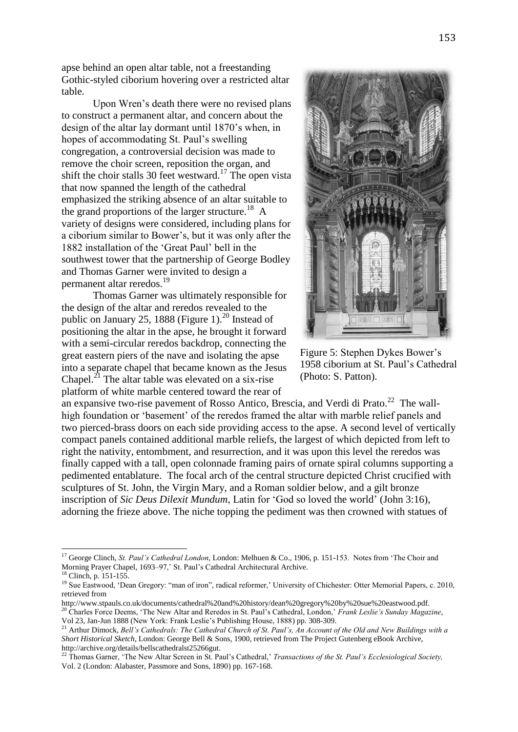apse behind an open altar table, not a freestanding Gothic-styled ciborium hovering over a restricted altar table.

Upon Wren's death there were no revised plans to construct a permanent altar, and concern about the design of the altar lay dormant until 1870's when, in hopes of accommodating St. Paul's swelling congregation, a controversial decision was made to remove the choir screen, reposition the organ, and shift the choir stalls 30 feet westward.<sup>17</sup> The open vista that now spanned the length of the cathedral emphasized the striking absence of an altar suitable to the grand proportions of the larger structure.<sup>18</sup> A variety of designs were considered, including plans for a ciborium similar to Bower's, but it was only after the 1882 installation of the 'Great Paul' bell in the southwest tower that the partnership of George Bodley and Thomas Garner were invited to design a permanent altar reredos.<sup>19</sup>

Thomas Garner was ultimately responsible for the design of the altar and reredos revealed to the public on January 25, 1888 (Figure 1).<sup>20</sup> Instead of positioning the altar in the apse, he brought it forward with a semi-circular reredos backdrop, connecting the great eastern piers of the nave and isolating the apse into a separate chapel that became known as the Jesus Chapel.<sup>21</sup> The altar table was elevated on a six-rise platform of white marble centered toward the rear of



Figure 5: Stephen Dykes Bower's 1958 ciborium at St. Paul's Cathedral (Photo: S. Patton).

an expansive two-rise pavement of Rosso Antico, Brescia, and Verdi di Prato.<sup>22</sup> The wallhigh foundation or 'basement' of the reredos framed the altar with marble relief panels and two pierced-brass doors on each side providing access to the apse. A second level of vertically compact panels contained additional marble reliefs, the largest of which depicted from left to right the nativity, entombment, and resurrection, and it was upon this level the reredos was finally capped with a tall, open colonnade framing pairs of ornate spiral columns supporting a pedimented entablature. The focal arch of the central structure depicted Christ crucified with sculptures of St. John, the Virgin Mary, and a Roman soldier below, and a gilt bronze inscription of *Sic Deus Dilexit Mundum*, Latin for 'God so loved the world' (John 3:16), adorning the frieze above. The niche topping the pediment was then crowned with statues of

<sup>&</sup>lt;sup>17</sup> George Clinch, *St. Paul's Cathedral London*, London: Melhuen & Co., 1906, p. 151-153. Notes from 'The Choir and Morning Prayer Chapel, 1693–97,' St. Paul's Cathedral Architectural Archive.

 $\cdot$  Clinch, p. 151-155.

<sup>&</sup>lt;sup>19</sup> Sue Eastwood, 'Dean Gregory: "man of iron", radical reformer,' University of Chichester: Otter Memorial Papers, c. 2010, retrieved from

http://www.stpauls.co.uk/documents/cathedral%20and%20history/dean%20gregory%20by%20sue%20eastwood.pdf. <sup>20</sup> Charles Force Deems, 'The New Altar and Reredos in St. Paul's Cathedral, London,' *Frank Leslie's Sunday Magazine*, Vol 23, Jan-Jun 1888 (New York: Frank Leslie's Publishing House, 1888) pp. 308-309.

<sup>21</sup> Arthur Dimock, *Bell's Cathedrals: The Cathedral Church of St. Paul's, An Account of the Old and New Buildings with a Short Historical Sketch*, London: George Bell & Sons, 1900, retrieved from The Project Gutenberg eBook Archive, http://archive.org/details/bellscathedralst25266gut.

<sup>22</sup> Thomas Garner, 'The New Altar Screen in St. Paul's Cathedral,' *Transactions of the St. Paul's Ecclesiological Society,* Vol. 2 (London: Alabaster, Passmore and Sons, 1890) pp. 167-168.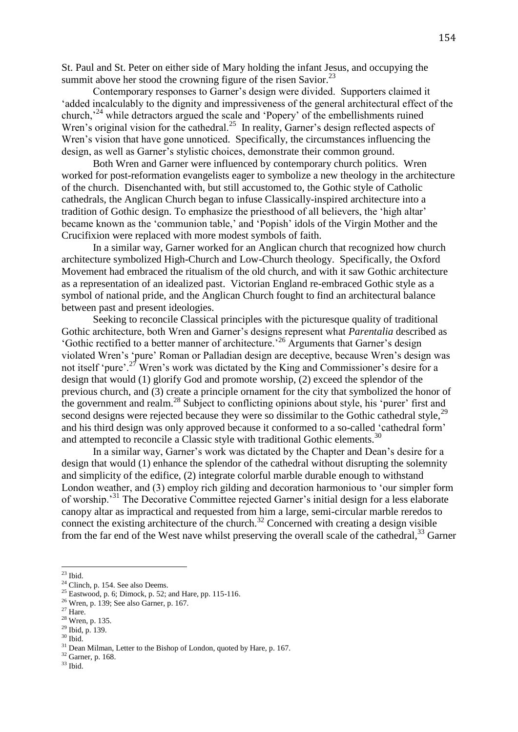St. Paul and St. Peter on either side of Mary holding the infant Jesus, and occupying the summit above her stood the crowning figure of the risen Savior. $^{23}$ 

Contemporary responses to Garner's design were divided. Supporters claimed it 'added incalculably to the dignity and impressiveness of the general architectural effect of the church,<sup>24</sup> while detractors argued the scale and 'Popery' of the embellishments ruined Wren's original vision for the cathedral.<sup>25</sup> In reality, Garner's design reflected aspects of Wren's vision that have gone unnoticed. Specifically, the circumstances influencing the design, as well as Garner's stylistic choices, demonstrate their common ground.

Both Wren and Garner were influenced by contemporary church politics. Wren worked for post-reformation evangelists eager to symbolize a new theology in the architecture of the church. Disenchanted with, but still accustomed to, the Gothic style of Catholic cathedrals, the Anglican Church began to infuse Classically-inspired architecture into a tradition of Gothic design. To emphasize the priesthood of all believers, the 'high altar' became known as the 'communion table,' and 'Popish' idols of the Virgin Mother and the Crucifixion were replaced with more modest symbols of faith.

In a similar way, Garner worked for an Anglican church that recognized how church architecture symbolized High-Church and Low-Church theology. Specifically, the Oxford Movement had embraced the ritualism of the old church, and with it saw Gothic architecture as a representation of an idealized past. Victorian England re-embraced Gothic style as a symbol of national pride, and the Anglican Church fought to find an architectural balance between past and present ideologies.

Seeking to reconcile Classical principles with the picturesque quality of traditional Gothic architecture, both Wren and Garner's designs represent what *Parentalia* described as 'Gothic rectified to a better manner of architecture.'<sup>26</sup> Arguments that Garner's design violated Wren's 'pure' Roman or Palladian design are deceptive, because Wren's design was not itself 'pure'.<sup>27</sup> Wren's work was dictated by the King and Commissioner's desire for a design that would (1) glorify God and promote worship, (2) exceed the splendor of the previous church, and (3) create a principle ornament for the city that symbolized the honor of the government and realm.<sup>28</sup> Subject to conflicting opinions about style, his 'purer' first and second designs were rejected because they were so dissimilar to the Gothic cathedral style,<sup>29</sup> and his third design was only approved because it conformed to a so-called 'cathedral form' and attempted to reconcile a Classic style with traditional Gothic elements.<sup>30</sup>

In a similar way, Garner's work was dictated by the Chapter and Dean's desire for a design that would (1) enhance the splendor of the cathedral without disrupting the solemnity and simplicity of the edifice, (2) integrate colorful marble durable enough to withstand London weather, and (3) employ rich gilding and decoration harmonious to 'our simpler form of worship.'<sup>31</sup> The Decorative Committee rejected Garner's initial design for a less elaborate canopy altar as impractical and requested from him a large, semi-circular marble reredos to connect the existing architecture of the church.<sup>32</sup> Concerned with creating a design visible from the far end of the West nave whilst preserving the overall scale of the cathedral,  $33$  Garner

 $23$  Ibid.

 $24$  Clinch, p. 154. See also Deems.

 $25$  Eastwood, p. 6; Dimock, p. 52; and Hare, pp. 115-116.

<sup>26</sup> Wren, p. 139; See also Garner, p. 167.

 $27$  Hare.

<sup>28</sup> Wren, p. 135.

<sup>29</sup> Ibid, p. 139.

 $30$  Ibid.

<sup>&</sup>lt;sup>31</sup> Dean Milman, Letter to the Bishop of London, quoted by Hare, p. 167.

<sup>32</sup> Garner, p. 168.

 $^{33}$  Ibid.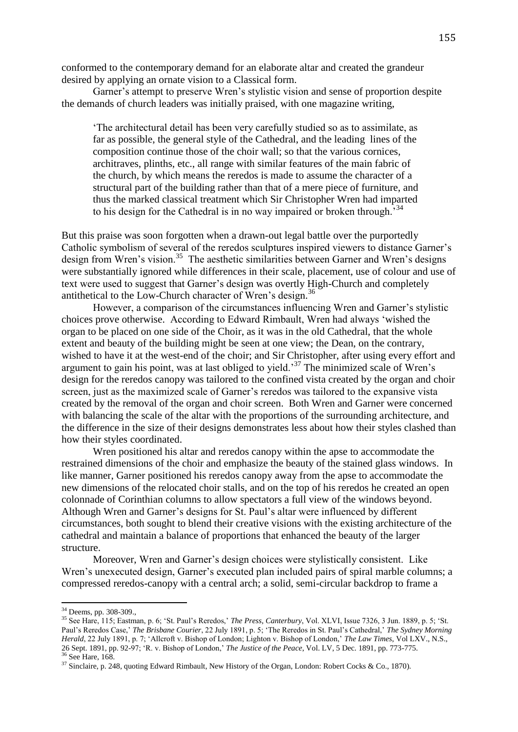conformed to the contemporary demand for an elaborate altar and created the grandeur desired by applying an ornate vision to a Classical form.

Garner's attempt to preserve Wren's stylistic vision and sense of proportion despite the demands of church leaders was initially praised, with one magazine writing,

'The architectural detail has been very carefully studied so as to assimilate, as far as possible, the general style of the Cathedral, and the leading lines of the composition continue those of the choir wall; so that the various cornices, architraves, plinths, etc., all range with similar features of the main fabric of the church, by which means the reredos is made to assume the character of a structural part of the building rather than that of a mere piece of furniture, and thus the marked classical treatment which Sir Christopher Wren had imparted to his design for the Cathedral is in no way impaired or broken through.<sup>34</sup>

But this praise was soon forgotten when a drawn-out legal battle over the purportedly Catholic symbolism of several of the reredos sculptures inspired viewers to distance Garner's design from Wren's vision.<sup>35</sup> The aesthetic similarities between Garner and Wren's designs were substantially ignored while differences in their scale, placement, use of colour and use of text were used to suggest that Garner's design was overtly High-Church and completely antithetical to the Low-Church character of Wren's design. 36

However, a comparison of the circumstances influencing Wren and Garner's stylistic choices prove otherwise. According to Edward Rimbault, Wren had always 'wished the organ to be placed on one side of the Choir, as it was in the old Cathedral, that the whole extent and beauty of the building might be seen at one view; the Dean, on the contrary, wished to have it at the west-end of the choir; and Sir Christopher, after using every effort and argument to gain his point, was at last obliged to yield.'<sup>37</sup> The minimized scale of Wren's design for the reredos canopy was tailored to the confined vista created by the organ and choir screen, just as the maximized scale of Garner's reredos was tailored to the expansive vista created by the removal of the organ and choir screen. Both Wren and Garner were concerned with balancing the scale of the altar with the proportions of the surrounding architecture, and the difference in the size of their designs demonstrates less about how their styles clashed than how their styles coordinated.

Wren positioned his altar and reredos canopy within the apse to accommodate the restrained dimensions of the choir and emphasize the beauty of the stained glass windows. In like manner, Garner positioned his reredos canopy away from the apse to accommodate the new dimensions of the relocated choir stalls, and on the top of his reredos he created an open colonnade of Corinthian columns to allow spectators a full view of the windows beyond. Although Wren and Garner's designs for St. Paul's altar were influenced by different circumstances, both sought to blend their creative visions with the existing architecture of the cathedral and maintain a balance of proportions that enhanced the beauty of the larger structure.

Moreover, Wren and Garner's design choices were stylistically consistent. Like Wren's unexecuted design, Garner's executed plan included pairs of spiral marble columns; a compressed reredos-canopy with a central arch; a solid, semi-circular backdrop to frame a

1

<sup>&</sup>lt;sup>34</sup> Deems, pp. 308-309.,

<sup>35</sup> See Hare, 115; Eastman, p. 6; 'St. Paul's Reredos,' *The Press, Canterbury*, Vol. XLVI, Issue 7326, 3 Jun. 1889, p. 5; 'St. Paul's Reredos Case,' *The Brisbane Courier*, 22 July 1891, p. 5; 'The Reredos in St. Paul's Cathedral,' *The Sydney Morning Herald*, 22 July 1891, p. 7; 'Allcroft v. Bishop of London; Lighton v. Bishop of London,' *The Law Times*, Vol LXV., N.S., 26 Sept. 1891, pp. 92-97; 'R. v. Bishop of London,' *The Justice of the Peace*, Vol. LV, 5 Dec. 1891, pp. 773-775. <sup>36</sup> See Hare, 168.

<sup>&</sup>lt;sup>37</sup> Sinclaire, p. 248, quoting Edward Rimbault, New History of the Organ, London: Robert Cocks & Co., 1870).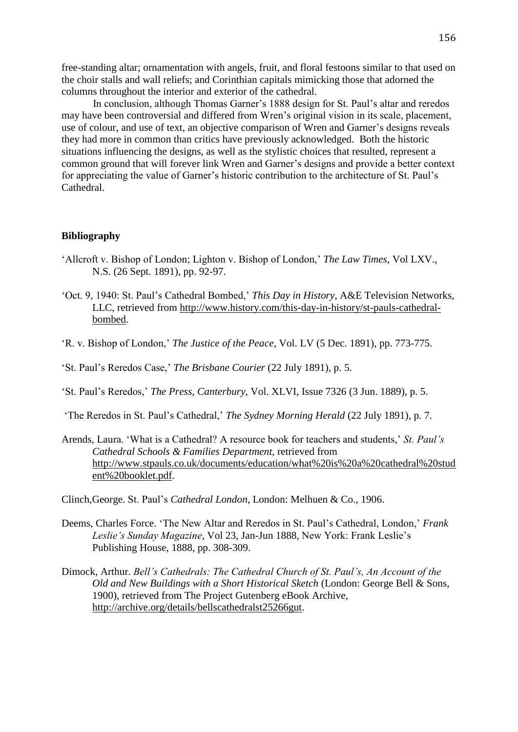free-standing altar; ornamentation with angels, fruit, and floral festoons similar to that used on the choir stalls and wall reliefs; and Corinthian capitals mimicking those that adorned the columns throughout the interior and exterior of the cathedral.

In conclusion, although Thomas Garner's 1888 design for St. Paul's altar and reredos may have been controversial and differed from Wren's original vision in its scale, placement, use of colour, and use of text, an objective comparison of Wren and Garner's designs reveals they had more in common than critics have previously acknowledged. Both the historic situations influencing the designs, as well as the stylistic choices that resulted, represent a common ground that will forever link Wren and Garner's designs and provide a better context for appreciating the value of Garner's historic contribution to the architecture of St. Paul's Cathedral.

## **Bibliography**

- 'Allcroft v. Bishop of London; Lighton v. Bishop of London,' *The Law Times*, Vol LXV., N.S. (26 Sept. 1891), pp. 92-97.
- 'Oct. 9, 1940: St. Paul's Cathedral Bombed,' *This Day in History*, A&E Television Networks, LLC, retrieved from [http://www.history.com/this-day-in-history/st-pauls-cathedral](http://www.history.com/this-day-in-history/st-pauls-cathedral-bombed)[bombed.](http://www.history.com/this-day-in-history/st-pauls-cathedral-bombed)
- 'R. v. Bishop of London,' *The Justice of the Peace*, Vol. LV (5 Dec. 1891), pp. 773-775.
- 'St. Paul's Reredos Case,' *The Brisbane Courier* (22 July 1891), p. 5.
- 'St. Paul's Reredos,' *The Press*, *Canterbury*, Vol. XLVI, Issue 7326 (3 Jun. 1889), p. 5.

'The Reredos in St. Paul's Cathedral,' *The Sydney Morning Herald* (22 July 1891), p. 7.

- Arends, Laura. 'What is a Cathedral? A resource book for teachers and students,' *St. Paul's Cathedral Schools & Families Department*, retrieved from [http://www.stpauls.co.uk/documents/education/what%20is%20a%20cathedral%20stud](http://www.stpauls.co.uk/documents/education/what%20is%20a%20cathedral%20student%20booklet.pdf) [ent%20booklet.pdf.](http://www.stpauls.co.uk/documents/education/what%20is%20a%20cathedral%20student%20booklet.pdf)
- Clinch,George. St. Paul's *Cathedral London,* London: Melhuen & Co., 1906.
- Deems, Charles Force. 'The New Altar and Reredos in St. Paul's Cathedral, London,' *Frank Leslie's Sunday Magazine*, Vol 23, Jan-Jun 1888, New York: Frank Leslie's Publishing House, 1888, pp. 308-309.
- Dimock, Arthur. *Bell's Cathedrals: The Cathedral Church of St. Paul's, An Account of the Old and New Buildings with a Short Historical Sketch* (London: George Bell & Sons, 1900), retrieved from The Project Gutenberg eBook Archive, [http://archive.org/details/bellscathedralst25266gut.](http://archive.org/details/bellscathedralst25266gut)